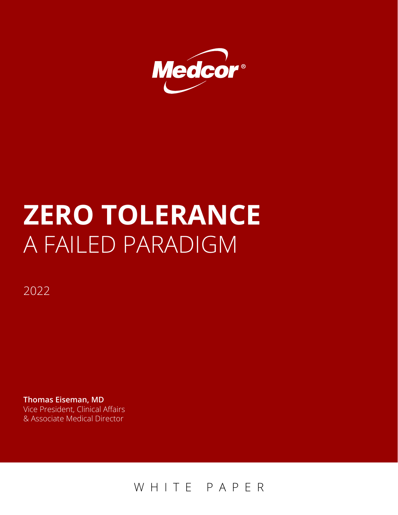

# **ZERO TOLERANCE** A FAILED PARADIGM

2022

**Thomas Eiseman, MD**  Vice President, Clinical Affairs & Associate Medical Director

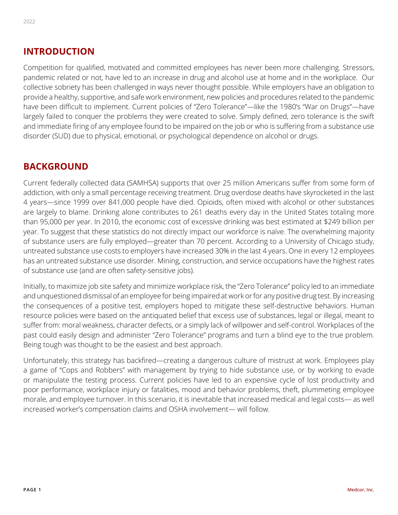#### **INTRODUCTION**

Competition for qualified, motivated and committed employees has never been more challenging. Stressors, pandemic related or not, have led to an increase in drug and alcohol use at home and in the workplace. Our collective sobriety has been challenged in ways never thought possible. While employers have an obligation to provide a healthy, supportive, and safe work environment, new policies and procedures related to the pandemic have been difficult to implement. Current policies of "Zero Tolerance"—like the 1980's "War on Drugs"—have largely failed to conquer the problems they were created to solve. Simply defined, zero tolerance is the swift and immediate firing of any employee found to be impaired on the job or who is suffering from a substance use disorder (SUD) due to physical, emotional, or psychological dependence on alcohol or drugs.

#### **BACKGROUND**

Current federally collected data (SAMHSA) supports that over 25 million Americans suffer from some form of addiction, with only a small percentage receiving treatment. Drug overdose deaths have skyrocketed in the last 4 years—since 1999 over 841,000 people have died. Opioids, often mixed with alcohol or other substances are largely to blame. Drinking alone contributes to 261 deaths every day in the United States totaling more than 95,000 per year. In 2010, the economic cost of excessive drinking was best estimated at \$249 billion per year. To suggest that these statistics do not directly impact our workforce is naïve. The overwhelming majority of substance users are fully employed—greater than 70 percent. According to a University of Chicago study, untreated substance use costs to employers have increased 30% in the last 4 years. One in every 12 employees has an untreated substance use disorder. Mining, construction, and service occupations have the highest rates of substance use (and are often safety-sensitive jobs).

Initially, to maximize job site safety and minimize workplace risk, the "Zero Tolerance" policy led to an immediate and unquestioned dismissal of an employee for being impaired at work or for any positive drug test. By increasing the consequences of a positive test, employers hoped to mitigate these self-destructive behaviors. Human resource policies were based on the antiquated belief that excess use of substances, legal or illegal, meant to suffer from: moral weakness, character defects, or a simply lack of willpower and self-control. Workplaces of the past could easily design and administer "Zero Tolerance" programs and turn a blind eye to the true problem. Being tough was thought to be the easiest and best approach.

Unfortunately, this strategy has backfired—creating a dangerous culture of mistrust at work. Employees play a game of "Cops and Robbers" with management by trying to hide substance use, or by working to evade or manipulate the testing process. Current policies have led to an expensive cycle of lost productivity and poor performance, workplace injury or fatalities, mood and behavior problems, theft, plummeting employee morale, and employee turnover. In this scenario, it is inevitable that increased medical and legal costs— as well increased worker's compensation claims and OSHA involvement— will follow.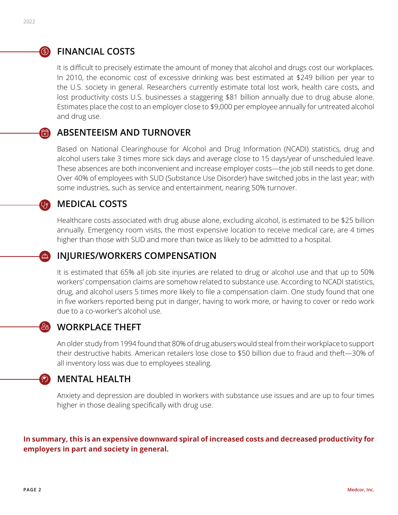# **S** FINANCIAL COSTS

It is difficult to precisely estimate the amount of money that alcohol and drugs cost our workplaces. In 2010, the economic cost of excessive drinking was best estimated at \$249 billion per year to the U.S. society in general. Researchers currently estimate total lost work, health care costs, and lost productivity costs U.S. businesses a staggering \$81 billion annually due to drug abuse alone. Estimates place the cost to an employer close to \$9,000 per employee annually for untreated alcohol and drug use.

#### **ABSENTEEISM AND TURNOVER** d<br>区

Based on National Clearinghouse for Alcohol and Drug Information (NCADI) statistics, drug and alcohol users take 3 times more sick days and average close to 15 days/year of unscheduled leave. These absences are both inconvenient and increase employer costs—the job still needs to get done. Over 40% of employees with SUD (Substance Use Disorder) have switched jobs in the last year; with some industries, such as service and entertainment, nearing 50% turnover.

## **MEDICAL COSTS**

stethoscope

 $\triangle$ 

 $\circledast$ 

Healthcare costs associated with drug abuse alone, excluding alcohol, is estimated to be \$25 billion annually. Emergency room visits, the most expensive location to receive medical care, are 4 times higher than those with SUD and more than twice as likely to be admitted to a hospital.

## **INJURIES/WORKERS COMPENSATION**

It is estimated that 65% all job site injuries are related to drug or alcohol use and that up to 50% workers' compensation claims are somehow related to substance use. According to NCADI statistics, drug, and alcohol users 5 times more likely to file a compensation claim. One study found that one in five workers reported being put in danger, having to work more, or having to cover or redo work due to a co-worker's alcohol use.

## **WORKPLACE THEFT**

An older study from 1994 found that 80% of drug abusers would steal from their workplace to support their destructive habits. American retailers lose close to \$50 billion due to fraud and theft—30% of all inventory loss was due to employees stealing.

## **MENTAL HEALTH**

Anxiety and depression are doubled in workers with substance use issues and are up to four times higher in those dealing specifically with drug use.

#### **In summary, this is an expensive downward spiral of increased costs and decreased productivity for employers in part and society in general.**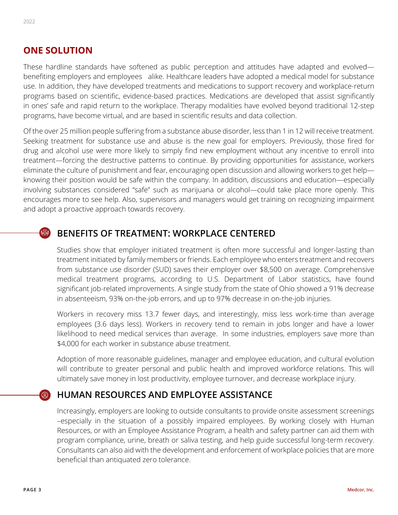#### **ONE SOLUTION**

These hardline standards have softened as public perception and attitudes have adapted and evolved benefiting employers and employees alike. Healthcare leaders have adopted a medical model for substance use. In addition, they have developed treatments and medications to support recovery and workplace-return programs based on scientific, evidence-based practices. Medications are developed that assist significantly in ones' safe and rapid return to the workplace. Therapy modalities have evolved beyond traditional 12-step programs, have become virtual, and are based in scientific results and data collection.

Of the over 25 million people suffering from a substance abuse disorder, less than 1 in 12 will receive treatment. Seeking treatment for substance use and abuse is the new goal for employers. Previously, those fired for drug and alcohol use were more likely to simply find new employment without any incentive to enroll into treatment—forcing the destructive patterns to continue. By providing opportunities for assistance, workers eliminate the culture of punishment and fear, encouraging open discussion and allowing workers to get help knowing their position would be safe within the company. In addition, discussions and education—especially involving substances considered "safe" such as marijuana or alcohol—could take place more openly. This encourages more to see help. Also, supervisors and managers would get training on recognizing impairment and adopt a proactive approach towards recovery.

#### **BENEFITS OF TREATMENT: WORKPLACE CENTERED** W

Studies show that employer initiated treatment is often more successful and longer-lasting than treatment initiated by family members or friends. Each employee who enters treatment and recovers from substance use disorder (SUD) saves their employer over \$8,500 on average. Comprehensive medical treatment programs, according to U.S. Department of Labor statistics, have found significant job-related improvements. A single study from the state of Ohio showed a 91% decrease in absenteeism, 93% on-the-job errors, and up to 97% decrease in on-the-job injuries.

Workers in recovery miss 13.7 fewer days, and interestingly, miss less work-time than average employees (3.6 days less). Workers in recovery tend to remain in jobs longer and have a lower likelihood to need medical services than average. In some industries, employers save more than \$4,000 for each worker in substance abuse treatment.

Adoption of more reasonable guidelines, manager and employee education, and cultural evolution will contribute to greater personal and public health and improved workforce relations. This will ultimately save money in lost productivity, employee turnover, and decrease workplace injury.

#### **HUMAN RESOURCES AND EMPLOYEE ASSISTANCE**  $\circledS$

Increasingly, employers are looking to outside consultants to provide onsite assessment screenings –especially in the situation of a possibly impaired employees. By working closely with Human Resources, or with an Employee Assistance Program, a health and safety partner can aid them with program compliance, urine, breath or saliva testing, and help guide successful long-term recovery. Consultants can also aid with the development and enforcement of workplace policies that are more beneficial than antiquated zero tolerance.